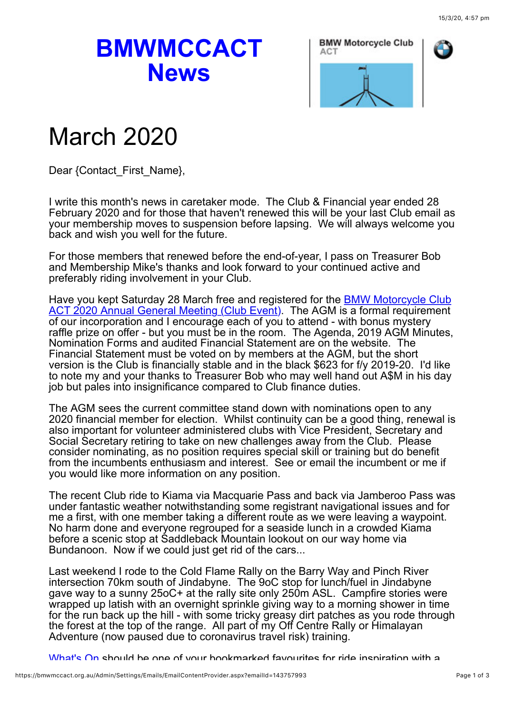## **BMWMCCACT News**



## March 2020

Dear {Contact\_First\_Name},

I write this month's news in caretaker mode. The Club & Financial year ended 28 February 2020 and for those that haven't renewed this will be your last Club email as your membership moves to suspension before lapsing. We will always welcome you back and wish you well for the future.

For those members that renewed before the end-of-year, I pass on Treasurer Bob and Membership Mike's thanks and look forward to your continued active and preferably riding involvement in your Club.

Have you kept Saturday 28 March free and registered for the **BMW Motorcycle Club** ACT 2020 Annual General Meeting (Club Event). The AGM is a formal requirement of our incorporation and I encourage each of you to attend - with bonus mystery raffle prize on offer - but you must be in the room. The Agenda, 2019 AGM Minutes, Nomination Forms and audited Financial Statement are on the website. The Financial Statement must be voted on by members at the AGM, but the short version is the Club is financially stable and in the black \$623 for f/y 2019-20. I'd like to note my and your thanks to Treasurer Bob who may well hand out A\$M in his day job but pales into insignificance compared to Club finance duties.

The AGM sees the current committee stand down with nominations open to any 2020 financial member for election. Whilst continuity can be a good thing, renewal is also important for volunteer administered clubs with Vice President, Secretary and Social Secretary retiring to take on new challenges away from the Club. Please consider nominating, as no position requires special skill or training but do benefit from the incumbents enthusiasm and interest. See or email the incumbent or me if you would like more information on any position.

The recent Club ride to Kiama via Macquarie Pass and back via Jamberoo Pass was under fantastic weather notwithstanding some registrant navigational issues and for me a first, with one member taking a different route as we were leaving a waypoint. No harm done and everyone regrouped for a seaside lunch in a crowded Kiama before a scenic stop at Saddleback Mountain lookout on our way home via Bundanoon. Now if we could just get rid of the cars...

Last weekend I rode to the Cold Flame Rally on the Barry Way and Pinch River intersection 70km south of Jindabyne. The 9oC stop for lunch/fuel in Jindabyne gave way to a sunny 25oC+ at the rally site only 250m ASL. Campfire stories were wrapped up latish with an overnight sprinkle giving way to a morning shower in time for the run back up the hill - with some tricky greasy dirt patches as you rode through the forest at the top of the range. All part of my Off Centre Rally or Himalayan Adventure (now paused due to coronavirus travel risk) training.

[What's On](https://bmwmccact.org.au/page-1419638) should be one of your bookmarked favourites for ride inspiration with a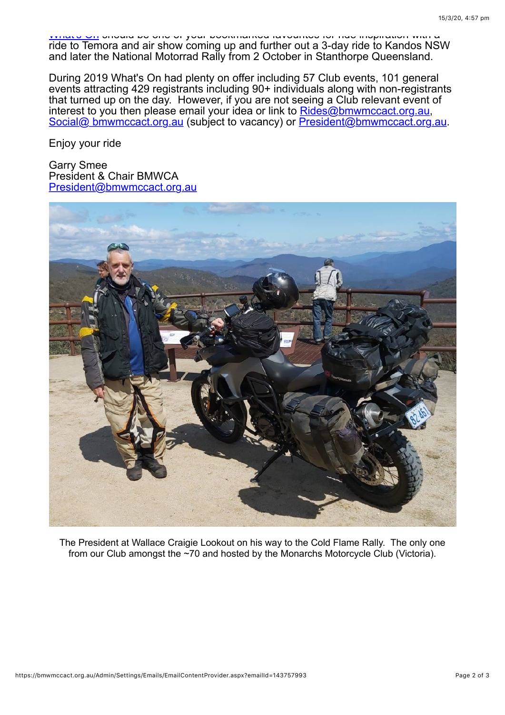[What](https://bmwmccact.org.au/page-1419638)'[s On](https://bmwmccact.org.au/page-1419638) should be one of your bookmarked favourites for ride inspiration with a ride to Temora and air show coming up and further out a 3-day ride to Kandos NSW and later the National Motorrad Rally from 2 October in Stanthorpe Queensland.

During 2019 What's On had plenty on offer including 57 Club events, 101 general events attracting 429 registrants including 90+ individuals along with non-registrants that turned up on the day. However, if you are not seeing a Club relevant event of interest to you then please email your idea or link to Rides@bmwmccact.org.au, [Social@ bmwmccact.org.au](https://bmwmccact.org.au/Social@%20bmwmccact.org.au) (subject to vacancy) or [President@bmwmccact.org.au.](https://bmwmccact.org.au/Social@%20bmwmccact.org.au)

Enjoy your ride

Garry Smee President & Chair BMWCA [President@bmwmccact.org.au](mailto:President@bmwmccact.org.au)



The President at Wallace Craigie Lookout on his way to the Cold Flame Rally. The only one from our Club amongst the ~70 and hosted by the Monarchs Motorcycle Club (Victoria).